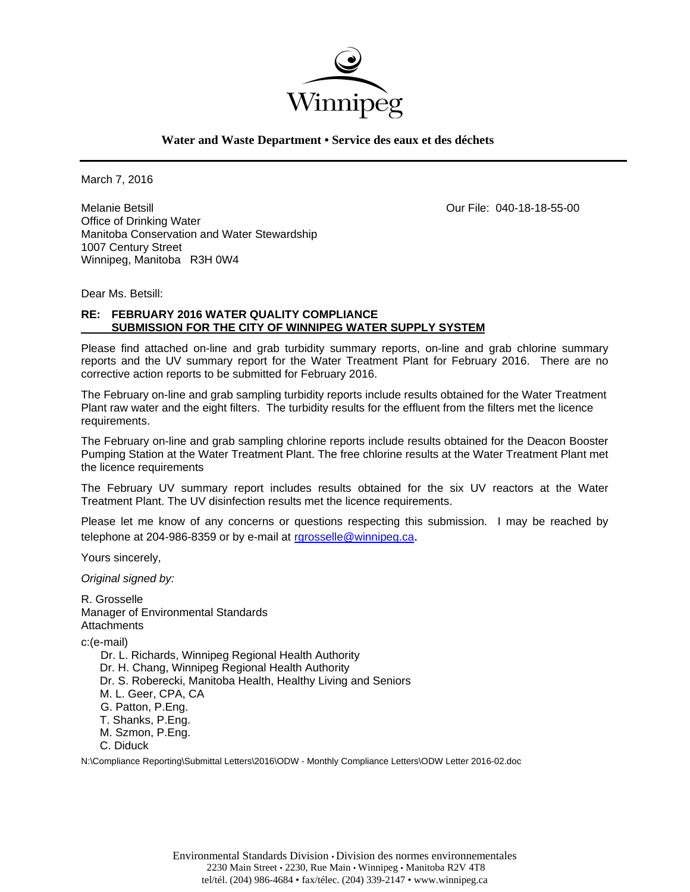

**Water and Waste Department • Service des eaux et des déchets**

March 7, 2016

Melanie Betsill Our File: 040-18-18-55-00 Office of Drinking Water Manitoba Conservation and Water Stewardship 1007 Century Street Winnipeg, Manitoba R3H 0W4

Dear Ms. Betsill:

# **RE: FEBRUARY 2016 WATER QUALITY COMPLIANCE SUBMISSION FOR THE CITY OF WINNIPEG WATER SUPPLY SYSTEM**

Please find attached on-line and grab turbidity summary reports, on-line and grab chlorine summary reports and the UV summary report for the Water Treatment Plant for February 2016. There are no corrective action reports to be submitted for February 2016.

The February on-line and grab sampling turbidity reports include results obtained for the Water Treatment Plant raw water and the eight filters. The turbidity results for the effluent from the filters met the licence requirements.

The February on-line and grab sampling chlorine reports include results obtained for the Deacon Booster Pumping Station at the Water Treatment Plant. The free chlorine results at the Water Treatment Plant met the licence requirements

The February UV summary report includes results obtained for the six UV reactors at the Water Treatment Plant. The UV disinfection results met the licence requirements.

Please let me know of any concerns or questions respecting this submission. I may be reached by telephone at 204-986-8359 or by e-mail at rgrosselle@winnipeg.ca.

Yours sincerely,

*Original signed by:* 

R. Grosselle Manager of Environmental Standards **Attachments** c:(e-mail)

 Dr. L. Richards, Winnipeg Regional Health Authority Dr. H. Chang, Winnipeg Regional Health Authority Dr. S. Roberecki, Manitoba Health, Healthy Living and Seniors M. L. Geer, CPA, CA G. Patton, P.Eng. T. Shanks, P.Eng. M. Szmon, P.Eng. C. Diduck

N:\Compliance Reporting\Submittal Letters\2016\ODW - Monthly Compliance Letters\ODW Letter 2016-02.doc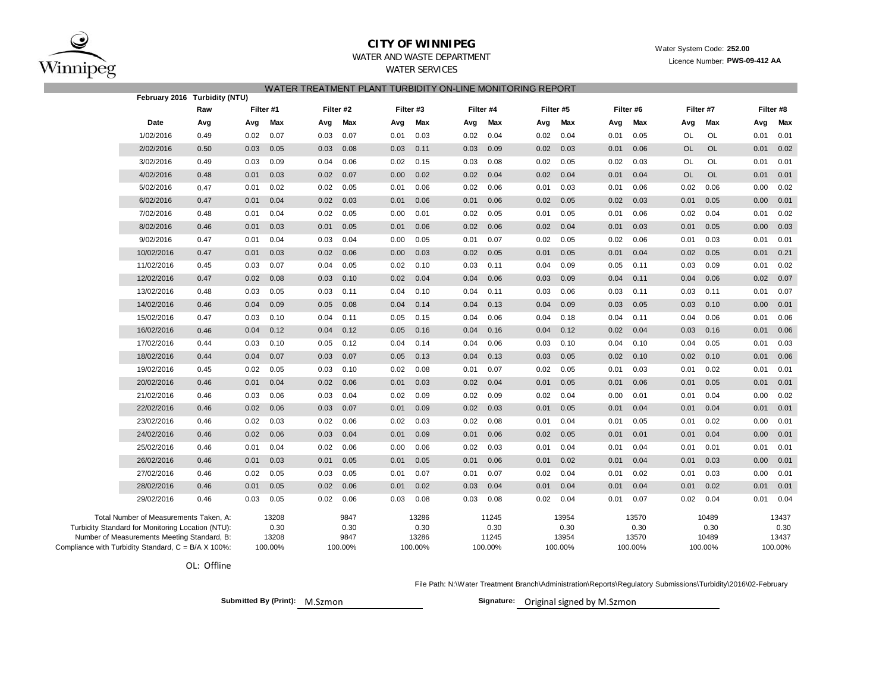

# **CITY OF WINNIPEG**WATER AND WASTE DEPARTMENT

Water System Code: **252.00**

Licence Number: **PWS-09-412 AA**

# WATER SERVICES

WATER TREATMENT BLANT TURBIDITY ON LINE MONITORING RE

|                                                     |      | WATER TREATMENT FLANT TURDIUITT UN-LINE MUNITURING REFURT |           |           |         |      |           |      |           |      |           |      |           |           |           |      |           |
|-----------------------------------------------------|------|-----------------------------------------------------------|-----------|-----------|---------|------|-----------|------|-----------|------|-----------|------|-----------|-----------|-----------|------|-----------|
| February 2016 Turbidity (NTU)                       |      |                                                           |           |           |         |      |           |      |           |      |           |      |           |           |           |      |           |
|                                                     | Raw  |                                                           | Filter #1 | Filter #2 |         |      | Filter #3 |      | Filter #4 |      | Filter #5 |      | Filter #6 |           | Filter #7 |      | Filter #8 |
| Date                                                | Avg  | Avg                                                       | Max       | Avg       | Max     | Avg  | Max       | Avg  | Max       | Avg  | Max       | Avg  | Max       | Avg       | Max       | Avg  | Max       |
| 1/02/2016                                           | 0.49 | 0.02                                                      | 0.07      | 0.03      | 0.07    | 0.01 | 0.03      | 0.02 | 0.04      | 0.02 | 0.04      | 0.01 | 0.05      | OL        | OL        | 0.01 | 0.01      |
| 2/02/2016                                           | 0.50 | 0.03                                                      | 0.05      | 0.03      | 0.08    | 0.03 | 0.11      | 0.03 | 0.09      | 0.02 | 0.03      | 0.01 | 0.06      | <b>OL</b> | <b>OL</b> | 0.01 | 0.02      |
| 3/02/2016                                           | 0.49 | 0.03                                                      | 0.09      | 0.04      | 0.06    | 0.02 | 0.15      | 0.03 | 0.08      | 0.02 | 0.05      | 0.02 | 0.03      | OL        | OL        | 0.01 | 0.01      |
| 4/02/2016                                           | 0.48 | 0.01                                                      | 0.03      | 0.02      | 0.07    | 0.00 | 0.02      | 0.02 | 0.04      | 0.02 | 0.04      | 0.01 | 0.04      | <b>OL</b> | <b>OL</b> | 0.01 | 0.01      |
| 5/02/2016                                           | 0.47 | 0.01                                                      | 0.02      | 0.02      | 0.05    | 0.01 | 0.06      | 0.02 | 0.06      | 0.01 | 0.03      | 0.01 | 0.06      | 0.02      | 0.06      | 0.00 | 0.02      |
| 6/02/2016                                           | 0.47 | 0.01                                                      | 0.04      | 0.02      | 0.03    | 0.01 | 0.06      | 0.01 | 0.06      | 0.02 | 0.05      | 0.02 | 0.03      | 0.01      | 0.05      | 0.00 | 0.01      |
| 7/02/2016                                           | 0.48 | 0.01                                                      | 0.04      | 0.02      | 0.05    | 0.00 | 0.01      | 0.02 | 0.05      | 0.01 | 0.05      | 0.01 | 0.06      | 0.02      | 0.04      | 0.01 | 0.02      |
| 8/02/2016                                           | 0.46 | 0.01                                                      | 0.03      | 0.01      | 0.05    | 0.01 | 0.06      | 0.02 | 0.06      | 0.02 | 0.04      | 0.01 | 0.03      | 0.01      | 0.05      | 0.00 | 0.03      |
| 9/02/2016                                           | 0.47 | 0.01                                                      | 0.04      | 0.03      | 0.04    | 0.00 | 0.05      | 0.01 | 0.07      | 0.02 | 0.05      | 0.02 | 0.06      | 0.01      | 0.03      | 0.01 | 0.01      |
| 10/02/2016                                          | 0.47 | 0.01                                                      | 0.03      | 0.02      | 0.06    | 0.00 | 0.03      | 0.02 | 0.05      | 0.01 | 0.05      | 0.01 | 0.04      | 0.02      | 0.05      | 0.01 | 0.21      |
| 11/02/2016                                          | 0.45 | 0.03                                                      | 0.07      | 0.04      | 0.05    | 0.02 | 0.10      | 0.03 | 0.11      | 0.04 | 0.09      | 0.05 | 0.11      | 0.03      | 0.09      | 0.01 | 0.02      |
| 12/02/2016                                          | 0.47 | 0.02                                                      | 0.08      | 0.03      | 0.10    | 0.02 | 0.04      | 0.04 | 0.06      | 0.03 | 0.09      | 0.04 | 0.11      | 0.04      | 0.06      | 0.02 | 0.07      |
| 13/02/2016                                          | 0.48 | 0.03                                                      | 0.05      | 0.03      | 0.11    | 0.04 | 0.10      | 0.04 | 0.11      | 0.03 | 0.06      | 0.03 | 0.11      | 0.03      | 0.11      | 0.01 | 0.07      |
| 14/02/2016                                          | 0.46 | 0.04                                                      | 0.09      | 0.05      | 0.08    | 0.04 | 0.14      | 0.04 | 0.13      | 0.04 | 0.09      | 0.03 | 0.05      | 0.03      | 0.10      | 0.00 | 0.01      |
| 15/02/2016                                          | 0.47 | 0.03                                                      | 0.10      | 0.04      | 0.11    | 0.05 | 0.15      | 0.04 | 0.06      | 0.04 | 0.18      | 0.04 | 0.11      | 0.04      | 0.06      | 0.01 | 0.06      |
| 16/02/2016                                          | 0.46 | 0.04                                                      | 0.12      | 0.04      | 0.12    | 0.05 | 0.16      | 0.04 | 0.16      | 0.04 | 0.12      | 0.02 | 0.04      | 0.03      | 0.16      | 0.01 | 0.06      |
| 17/02/2016                                          | 0.44 | 0.03                                                      | 0.10      | 0.05      | 0.12    | 0.04 | 0.14      | 0.04 | 0.06      | 0.03 | 0.10      | 0.04 | 0.10      | 0.04      | 0.05      | 0.01 | 0.03      |
| 18/02/2016                                          | 0.44 | 0.04                                                      | 0.07      | 0.03      | 0.07    | 0.05 | 0.13      | 0.04 | 0.13      | 0.03 | 0.05      | 0.02 | 0.10      | 0.02      | 0.10      | 0.01 | 0.06      |
| 19/02/2016                                          | 0.45 | 0.02                                                      | 0.05      | 0.03      | 0.10    | 0.02 | 0.08      | 0.01 | 0.07      | 0.02 | 0.05      | 0.01 | 0.03      | 0.01      | 0.02      | 0.01 | 0.01      |
| 20/02/2016                                          | 0.46 | 0.01                                                      | 0.04      | 0.02      | 0.06    | 0.01 | 0.03      | 0.02 | 0.04      | 0.01 | 0.05      | 0.01 | 0.06      | 0.01      | 0.05      | 0.01 | 0.01      |
| 21/02/2016                                          | 0.46 | 0.03                                                      | 0.06      | 0.03      | 0.04    | 0.02 | 0.09      | 0.02 | 0.09      | 0.02 | 0.04      | 0.00 | 0.01      | 0.01      | 0.04      | 0.00 | 0.02      |
| 22/02/2016                                          | 0.46 | 0.02                                                      | 0.06      | 0.03      | 0.07    | 0.01 | 0.09      | 0.02 | 0.03      | 0.01 | 0.05      | 0.01 | 0.04      | 0.01      | 0.04      | 0.01 | 0.01      |
| 23/02/2016                                          | 0.46 | 0.02                                                      | 0.03      | 0.02      | 0.06    | 0.02 | 0.03      | 0.02 | 0.08      | 0.01 | 0.04      | 0.01 | 0.05      | 0.01      | 0.02      | 0.00 | 0.01      |
| 24/02/2016                                          | 0.46 | 0.02                                                      | 0.06      | 0.03      | 0.04    | 0.01 | 0.09      | 0.01 | 0.06      | 0.02 | 0.05      | 0.01 | 0.01      | 0.01      | 0.04      | 0.00 | 0.01      |
| 25/02/2016                                          | 0.46 | 0.01                                                      | 0.04      | 0.02      | 0.06    | 0.00 | 0.06      | 0.02 | 0.03      | 0.01 | 0.04      | 0.01 | 0.04      | 0.01      | 0.01      | 0.01 | 0.01      |
| 26/02/2016                                          | 0.46 | 0.01                                                      | 0.03      | 0.01      | 0.05    | 0.01 | 0.05      | 0.01 | 0.06      | 0.01 | 0.02      | 0.01 | 0.04      | 0.01      | 0.03      | 0.00 | 0.01      |
| 27/02/2016                                          | 0.46 | 0.02                                                      | 0.05      | 0.03      | 0.05    | 0.01 | 0.07      | 0.01 | 0.07      | 0.02 | 0.04      | 0.01 | 0.02      | 0.01      | 0.03      | 0.00 | 0.01      |
| 28/02/2016                                          | 0.46 | 0.01                                                      | 0.05      | 0.02      | 0.06    | 0.01 | 0.02      | 0.03 | 0.04      | 0.01 | 0.04      | 0.01 | 0.04      | 0.01      | 0.02      | 0.01 | 0.01      |
| 29/02/2016                                          | 0.46 | 0.03                                                      | 0.05      | 0.02      | 0.06    | 0.03 | 0.08      | 0.03 | 0.08      | 0.02 | 0.04      | 0.01 | 0.07      | 0.02      | 0.04      | 0.01 | 0.04      |
| Total Number of Measurements Taken, A:              |      |                                                           | 13208     |           | 9847    |      | 13286     |      | 11245     |      | 13954     |      | 13570     |           | 10489     |      | 13437     |
| Turbidity Standard for Monitoring Location (NTU):   |      |                                                           | 0.30      |           | 0.30    |      | 0.30      |      | 0.30      |      | 0.30      |      | 0.30      |           | 0.30      |      | 0.30      |
| Number of Measurements Meeting Standard, B:         |      |                                                           | 13208     |           | 9847    |      | 13286     |      | 11245     |      | 13954     |      | 13570     |           | 10489     |      | 13437     |
| Compliance with Turbidity Standard, C = B/A X 100%: |      |                                                           | 100.00%   |           | 100.00% |      | 100.00%   |      | 100.00%   |      | 100.00%   |      | 100.00%   |           | 100.00%   |      | 100.00%   |

OL: Offline

File Path: N:\Water Treatment Branch\Administration\Reports\Regulatory Submissions\Turbidity\2016\02-February

**Submitted By (Print): M.Szmon** 

Signature: Original signed by M.Szmon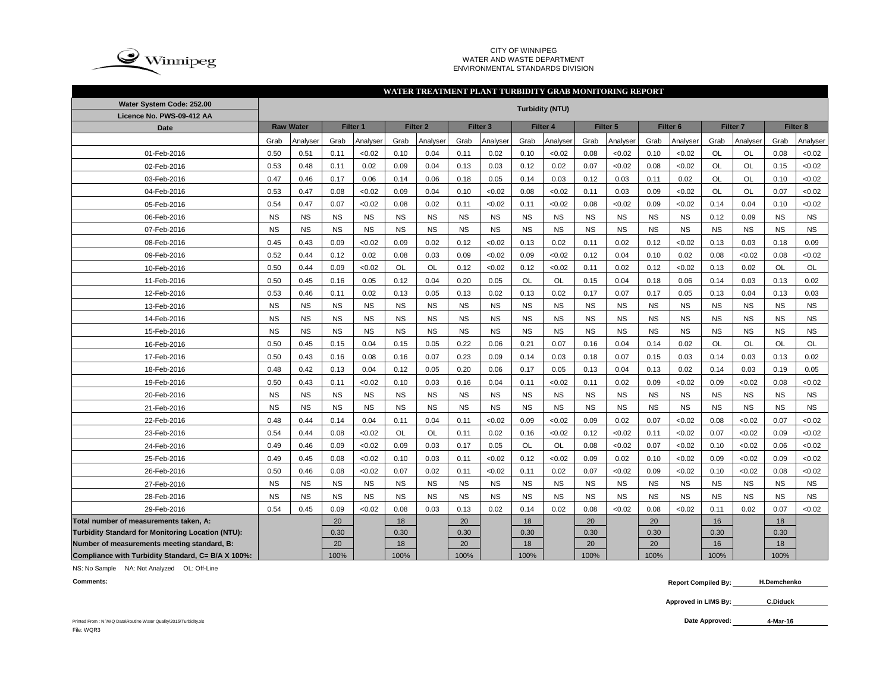

#### CITY OF WINNIPEG WATER AND WASTE DEPARTMENTENVIRONMENTAL STANDARDS DIVISION

### **WATER TREATMENT PLANT TURBIDITY GRAB MONITORING REPORT**

| Water System Code: 252.00                          |           |                  |           |           |           |                     |           |                     | <b>Turbidity (NTU)</b> |                     |           |           |                     |           |                     |           |           |                     |
|----------------------------------------------------|-----------|------------------|-----------|-----------|-----------|---------------------|-----------|---------------------|------------------------|---------------------|-----------|-----------|---------------------|-----------|---------------------|-----------|-----------|---------------------|
| Licence No. PWS-09-412 AA                          |           |                  |           |           |           |                     |           |                     |                        |                     |           |           |                     |           |                     |           |           |                     |
| <b>Date</b>                                        |           | <b>Raw Water</b> |           | Filter 1  |           | Filter <sub>2</sub> |           | Filter <sub>3</sub> |                        | Filter <sub>4</sub> |           | Filter 5  | Filter <sub>6</sub> |           | Filter <sub>7</sub> |           |           | Filter <sub>8</sub> |
|                                                    | Grab      | Analyser         | Grab      | Analyser  | Grab      | Analyser            | Grab      | Analyser            | Grab                   | Analyser            | Grab      | Analyser  | Grab                | Analyser  | Grab                | Analyser  | Grab      | Analyser            |
| 01-Feb-2016                                        | 0.50      | 0.51             | 0.11      | <0.02     | 0.10      | 0.04                | 0.11      | 0.02                | 0.10                   | < 0.02              | 0.08      | <0.02     | 0.10                | < 0.02    | OL                  | <b>OL</b> | 0.08      | < 0.02              |
| 02-Feb-2016                                        | 0.53      | 0.48             | 0.11      | 0.02      | 0.09      | 0.04                | 0.13      | 0.03                | 0.12                   | 0.02                | 0.07      | <0.02     | 0.08                | <0.02     | OL                  | <b>OL</b> | 0.15      | < 0.02              |
| 03-Feb-2016                                        | 0.47      | 0.46             | 0.17      | 0.06      | 0.14      | 0.06                | 0.18      | 0.05                | 0.14                   | 0.03                | 0.12      | 0.03      | 0.11                | 0.02      | OL                  | OL        | 0.10      | < 0.02              |
| 04-Feb-2016                                        | 0.53      | 0.47             | 0.08      | <0.02     | 0.09      | 0.04                | 0.10      | <0.02               | 0.08                   | <0.02               | 0.11      | 0.03      | 0.09                | < 0.02    | OL                  | <b>OL</b> | 0.07      | <0.02               |
| 05-Feb-2016                                        | 0.54      | 0.47             | 0.07      | <0.02     | 0.08      | 0.02                | 0.11      | <0.02               | 0.11                   | < 0.02              | 0.08      | < 0.02    | 0.09                | < 0.02    | 0.14                | 0.04      | 0.10      | <0.02               |
| 06-Feb-2016                                        | <b>NS</b> | <b>NS</b>        | <b>NS</b> | <b>NS</b> | <b>NS</b> | <b>NS</b>           | <b>NS</b> | <b>NS</b>           | <b>NS</b>              | <b>NS</b>           | <b>NS</b> | <b>NS</b> | <b>NS</b>           | <b>NS</b> | 0.12                | 0.09      | <b>NS</b> | <b>NS</b>           |
| 07-Feb-2016                                        | <b>NS</b> | <b>NS</b>        | <b>NS</b> | <b>NS</b> | <b>NS</b> | <b>NS</b>           | <b>NS</b> | <b>NS</b>           | <b>NS</b>              | <b>NS</b>           | <b>NS</b> | <b>NS</b> | <b>NS</b>           | <b>NS</b> | <b>NS</b>           | <b>NS</b> | <b>NS</b> | <b>NS</b>           |
| 08-Feb-2016                                        | 0.45      | 0.43             | 0.09      | <0.02     | 0.09      | 0.02                | 0.12      | <0.02               | 0.13                   | 0.02                | 0.11      | 0.02      | 0.12                | < 0.02    | 0.13                | 0.03      | 0.18      | 0.09                |
| 09-Feb-2016                                        | 0.52      | 0.44             | 0.12      | 0.02      | 0.08      | 0.03                | 0.09      | <0.02               | 0.09                   | < 0.02              | 0.12      | 0.04      | 0.10                | 0.02      | 0.08                | <0.02     | 0.08      | < 0.02              |
| 10-Feb-2016                                        | 0.50      | 0.44             | 0.09      | <0.02     | OL        | <b>OL</b>           | 0.12      | <0.02               | 0.12                   | < 0.02              | 0.11      | 0.02      | 0.12                | < 0.02    | 0.13                | 0.02      | OL        | OL                  |
| 11-Feb-2016                                        | 0.50      | 0.45             | 0.16      | 0.05      | 0.12      | 0.04                | 0.20      | 0.05                | OL                     | OL                  | 0.15      | 0.04      | 0.18                | 0.06      | 0.14                | 0.03      | 0.13      | 0.02                |
| 12-Feb-2016                                        | 0.53      | 0.46             | 0.11      | 0.02      | 0.13      | 0.05                | 0.13      | 0.02                | 0.13                   | 0.02                | 0.17      | 0.07      | 0.17                | 0.05      | 0.13                | 0.04      | 0.13      | 0.03                |
| 13-Feb-2016                                        | <b>NS</b> | <b>NS</b>        | <b>NS</b> | <b>NS</b> | <b>NS</b> | <b>NS</b>           | <b>NS</b> | <b>NS</b>           | <b>NS</b>              | <b>NS</b>           | <b>NS</b> | <b>NS</b> | <b>NS</b>           | <b>NS</b> | <b>NS</b>           | <b>NS</b> | <b>NS</b> | <b>NS</b>           |
| 14-Feb-2016                                        | <b>NS</b> | <b>NS</b>        | <b>NS</b> | <b>NS</b> | <b>NS</b> | <b>NS</b>           | <b>NS</b> | <b>NS</b>           | <b>NS</b>              | <b>NS</b>           | <b>NS</b> | <b>NS</b> | <b>NS</b>           | <b>NS</b> | <b>NS</b>           | <b>NS</b> | <b>NS</b> | <b>NS</b>           |
| 15-Feb-2016                                        | <b>NS</b> | <b>NS</b>        | <b>NS</b> | <b>NS</b> | <b>NS</b> | <b>NS</b>           | <b>NS</b> | <b>NS</b>           | <b>NS</b>              | <b>NS</b>           | <b>NS</b> | <b>NS</b> | <b>NS</b>           | <b>NS</b> | <b>NS</b>           | <b>NS</b> | <b>NS</b> | <b>NS</b>           |
| 16-Feb-2016                                        | 0.50      | 0.45             | 0.15      | 0.04      | 0.15      | 0.05                | 0.22      | 0.06                | 0.21                   | 0.07                | 0.16      | 0.04      | 0.14                | 0.02      | OL                  | OL        | OL        | OL                  |
| 17-Feb-2016                                        | 0.50      | 0.43             | 0.16      | 0.08      | 0.16      | 0.07                | 0.23      | 0.09                | 0.14                   | 0.03                | 0.18      | 0.07      | 0.15                | 0.03      | 0.14                | 0.03      | 0.13      | 0.02                |
| 18-Feb-2016                                        | 0.48      | 0.42             | 0.13      | 0.04      | 0.12      | 0.05                | 0.20      | 0.06                | 0.17                   | 0.05                | 0.13      | 0.04      | 0.13                | 0.02      | 0.14                | 0.03      | 0.19      | 0.05                |
| 19-Feb-2016                                        | 0.50      | 0.43             | 0.11      | < 0.02    | 0.10      | 0.03                | 0.16      | 0.04                | 0.11                   | <0.02               | 0.11      | 0.02      | 0.09                | <0.02     | 0.09                | < 0.02    | 0.08      | <0.02               |
| 20-Feb-2016                                        | <b>NS</b> | <b>NS</b>        | <b>NS</b> | <b>NS</b> | <b>NS</b> | <b>NS</b>           | <b>NS</b> | <b>NS</b>           | <b>NS</b>              | <b>NS</b>           | <b>NS</b> | <b>NS</b> | <b>NS</b>           | <b>NS</b> | <b>NS</b>           | <b>NS</b> | <b>NS</b> | $_{\rm NS}$         |
| 21-Feb-2016                                        | <b>NS</b> | <b>NS</b>        | <b>NS</b> | <b>NS</b> | <b>NS</b> | <b>NS</b>           | <b>NS</b> | <b>NS</b>           | <b>NS</b>              | <b>NS</b>           | <b>NS</b> | <b>NS</b> | <b>NS</b>           | <b>NS</b> | <b>NS</b>           | <b>NS</b> | <b>NS</b> | <b>NS</b>           |
| 22-Feb-2016                                        | 0.48      | 0.44             | 0.14      | 0.04      | 0.11      | 0.04                | 0.11      | <0.02               | 0.09                   | <0.02               | 0.09      | 0.02      | 0.07                | <0.02     | 0.08                | <0.02     | 0.07      | < 0.02              |
| 23-Feb-2016                                        | 0.54      | 0.44             | 0.08      | <0.02     | OL        | <b>OL</b>           | 0.11      | 0.02                | 0.16                   | < 0.02              | 0.12      | < 0.02    | 0.11                | < 0.02    | 0.07                | <0.02     | 0.09      | <0.02               |
| 24-Feb-2016                                        | 0.49      | 0.46             | 0.09      | <0.02     | 0.09      | 0.03                | 0.17      | 0.05                | OL                     | OL                  | 0.08      | < 0.02    | 0.07                | < 0.02    | 0.10                | <0.02     | 0.06      | < 0.02              |
| 25-Feb-2016                                        | 0.49      | 0.45             | 0.08      | <0.02     | 0.10      | 0.03                | 0.11      | <0.02               | 0.12                   | <0.02               | 0.09      | 0.02      | 0.10                | < 0.02    | 0.09                | <0.02     | 0.09      | <0.02               |
| 26-Feb-2016                                        | 0.50      | 0.46             | 0.08      | <0.02     | 0.07      | 0.02                | 0.11      | <0.02               | 0.11                   | 0.02                | 0.07      | <0.02     | 0.09                | < 0.02    | 0.10                | <0.02     | 0.08      | <0.02               |
| 27-Feb-2016                                        | <b>NS</b> | <b>NS</b>        | <b>NS</b> | <b>NS</b> | <b>NS</b> | <b>NS</b>           | <b>NS</b> | <b>NS</b>           | <b>NS</b>              | <b>NS</b>           | <b>NS</b> | <b>NS</b> | <b>NS</b>           | <b>NS</b> | <b>NS</b>           | <b>NS</b> | <b>NS</b> | <b>NS</b>           |
| 28-Feb-2016                                        | <b>NS</b> | <b>NS</b>        | <b>NS</b> | <b>NS</b> | <b>NS</b> | <b>NS</b>           | <b>NS</b> | <b>NS</b>           | <b>NS</b>              | <b>NS</b>           | <b>NS</b> | <b>NS</b> | <b>NS</b>           | <b>NS</b> | <b>NS</b>           | <b>NS</b> | <b>NS</b> | <b>NS</b>           |
| 29-Feb-2016                                        | 0.54      | 0.45             | 0.09      | <0.02     | 0.08      | 0.03                | 0.13      | 0.02                | 0.14                   | 0.02                | 0.08      | < 0.02    | 0.08                | < 0.02    | 0.11                | 0.02      | 0.07      | < 0.02              |
| Total number of measurements taken, A:             |           |                  | 20        |           | 18        |                     | 20        |                     | 18                     |                     | 20        |           | 20                  |           | 16                  |           | 18        |                     |
| Turbidity Standard for Monitoring Location (NTU):  |           |                  | 0.30      |           | 0.30      |                     | 0.30      |                     | 0.30                   |                     | 0.30      |           | 0.30                |           | 0.30                |           | 0.30      |                     |
| Number of measurements meeting standard, B:        |           |                  | 20        |           | 18        |                     | 20        |                     | 18                     |                     | 20        |           | 20                  |           | 16                  |           | 18        |                     |
| Compliance with Turbidity Standard, C= B/A X 100%: |           |                  | 100%      |           | 100%      |                     | 100%      |                     | 100%                   |                     | 100%      |           | 100%                |           | 100%                |           | 100%      |                     |

NS: No Sample NA: Not Analyzed OL: Off-Line

**Comments:**

 **Report Compiled By: H.Demchenko**

**Approved in LIMS By: C.Diduck**

Printed From : N:\WQ Data\Routine Water Quality\2015\Turbidity.xls **Date Approved:** File: WQR3

**4-Mar-16**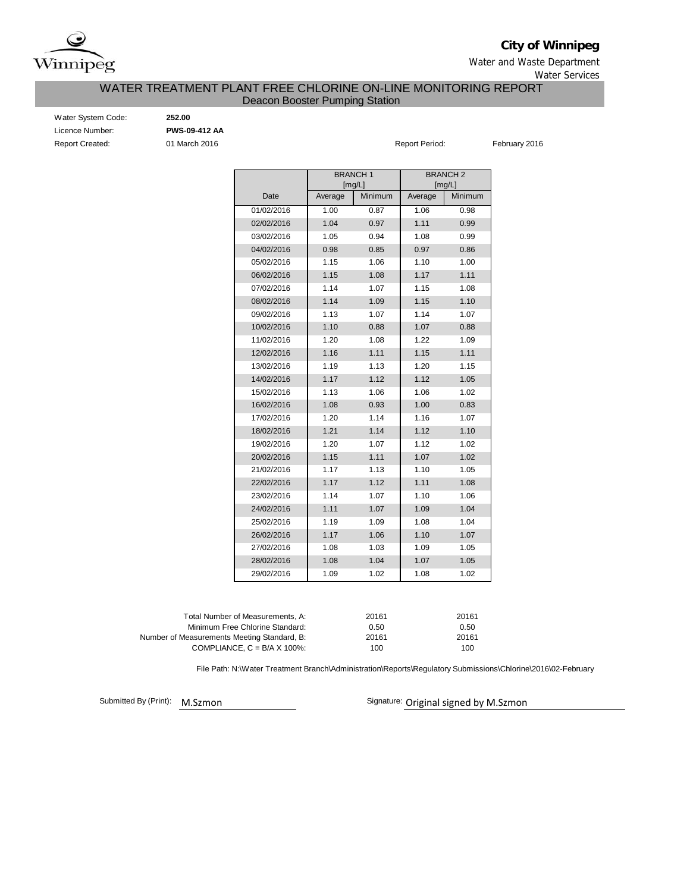

**City of Winnipeg**

Water and Waste Department Water Services

## Deacon Booster Pumping Station WATER TREATMENT PLANT FREE CHLORINE ON-LINE MONITORING REPORT

Water System Code: **252.00** Licence Number: **PWS-09-412 AA** Report Created: **01 March 2016 Report Period:** February 2016

|            |         | <b>BRANCH1</b><br>[mg/L] | <b>BRANCH 2</b><br>[mg/L] |         |  |  |  |  |  |
|------------|---------|--------------------------|---------------------------|---------|--|--|--|--|--|
| Date       | Average | Minimum                  | Average                   | Minimum |  |  |  |  |  |
| 01/02/2016 | 1.00    | 0.87                     | 1.06                      | 0.98    |  |  |  |  |  |
| 02/02/2016 | 1.04    | 0.97                     | 1.11                      | 0.99    |  |  |  |  |  |
| 03/02/2016 | 1.05    | 0.94                     | 1.08                      | 0.99    |  |  |  |  |  |
| 04/02/2016 | 0.98    | 0.85                     | 0.97                      | 0.86    |  |  |  |  |  |
| 05/02/2016 | 1.15    | 1.06                     | 1.10                      | 1.00    |  |  |  |  |  |
| 06/02/2016 | 1.15    | 1.08                     | 1.17                      | 1.11    |  |  |  |  |  |
| 07/02/2016 | 1.14    | 1.07                     | 1.15                      | 1.08    |  |  |  |  |  |
| 08/02/2016 | 1.14    | 1.09                     | 1.15                      | 1.10    |  |  |  |  |  |
| 09/02/2016 | 1.13    | 1.07                     | 1.14                      | 1.07    |  |  |  |  |  |
| 10/02/2016 | 1.10    | 0.88                     | 1.07                      | 0.88    |  |  |  |  |  |
| 11/02/2016 | 1.20    | 1.08                     | 1.22                      | 1.09    |  |  |  |  |  |
| 12/02/2016 | 1.16    | 1.11                     | 1.15                      | 1.11    |  |  |  |  |  |
| 13/02/2016 | 1.19    | 1.13                     | 1.20                      | 1.15    |  |  |  |  |  |
| 14/02/2016 | 1.17    | 1.12                     | 1.12                      | 1.05    |  |  |  |  |  |
| 15/02/2016 | 1.13    | 1.06                     | 1.06                      | 1.02    |  |  |  |  |  |
| 16/02/2016 | 1.08    | 0.93                     | 1.00                      | 0.83    |  |  |  |  |  |
| 17/02/2016 | 1.20    | 1.14                     | 1.16                      | 1.07    |  |  |  |  |  |
| 18/02/2016 | 1.21    | 1.14                     | 1.12                      | 1.10    |  |  |  |  |  |
| 19/02/2016 | 1.20    | 1.07                     | 1.12                      | 1.02    |  |  |  |  |  |
| 20/02/2016 | 1.15    | 1.11                     | 1.07                      | 1.02    |  |  |  |  |  |
| 21/02/2016 | 1.17    | 1.13                     | 1.10                      | 1.05    |  |  |  |  |  |
| 22/02/2016 | 1.17    | 1.12                     | 1.11                      | 1.08    |  |  |  |  |  |
| 23/02/2016 | 1.14    | 1.07                     | 1.10                      | 1.06    |  |  |  |  |  |
| 24/02/2016 | 1.11    | 1.07                     | 1.09                      | 1.04    |  |  |  |  |  |
| 25/02/2016 | 1.19    | 1.09                     | 1.08                      | 1.04    |  |  |  |  |  |
| 26/02/2016 | 1.17    | 1.06                     | 1.10                      | 1.07    |  |  |  |  |  |
| 27/02/2016 | 1.08    | 1.03                     | 1.09                      | 1.05    |  |  |  |  |  |
| 28/02/2016 | 1.08    | 1.04                     | 1.07                      | 1.05    |  |  |  |  |  |
| 29/02/2016 | 1.09    | 1.02                     | 1.08                      | 1.02    |  |  |  |  |  |

| Total Number of Measurements. A:            | 20161 | 20161 |
|---------------------------------------------|-------|-------|
| Minimum Free Chlorine Standard:             | 0.50  | 0.50  |
| Number of Measurements Meeting Standard, B: | 20161 | 20161 |
| COMPLIANCE, $C = B/A \times 100\%$ :        | 100   | 100   |

File Path: N:\Water Treatment Branch\Administration\Reports\Regulatory Submissions\Chlorine\2016\02-February

Submitted By (Print):

M.Szmon Signature: Original signed by M.Szmon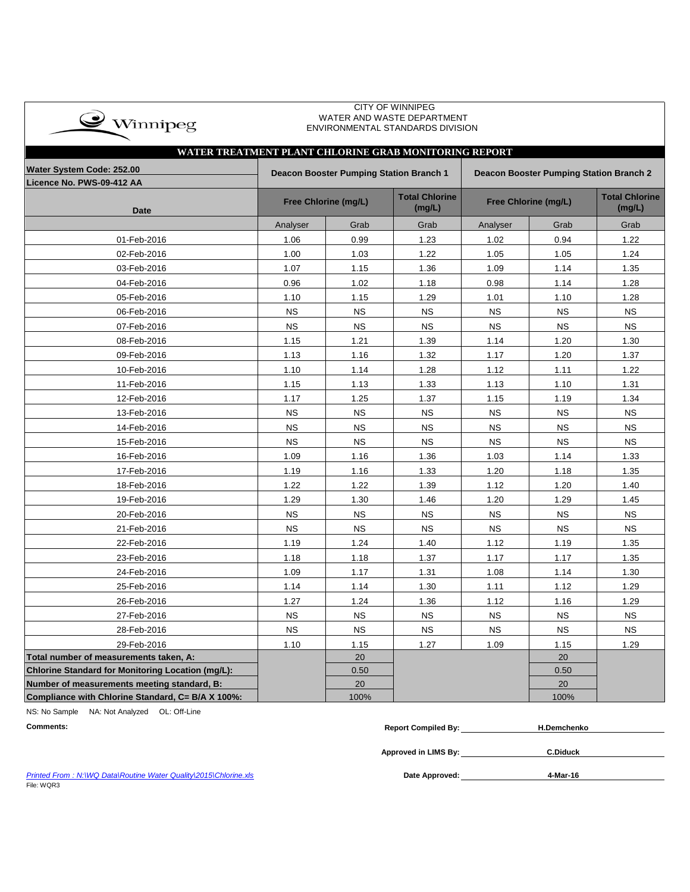| $\bullet$ Winnipeg |  |
|--------------------|--|
|                    |  |

#### CITY OF WINNIPEG WATER AND WASTE DEPARTMENT ENVIRONMENTAL STANDARDS DIVISION

# **Licence No. PWS-09-412 AA Date Total Chlorine (mg/L) Total Chlorine (mg/L)** Analyser | Grab | Grab | Analyser | Grab | Grab 01-Feb-2016 1.06 0.99 1.23 1.02 0.94 1.22 02-Feb-2016 1.00 1.03 1.22 1.05 1.05 1.24 03-Feb-2016 1.07 1.15 1.36 1.09 1.14 1.35 04-Feb-2016 1.02 1.18 0.98 1.14 1.28 05-Feb-2016 1.10 1.15 1.29 1.01 1.10 1.28 06-Feb-2016 NS NS NS NS NS NS 07-Feb-2016 NS NS NS NS NS NS 08-Feb-2016 | 1.15 | 1.21 | 1.39 | 1.14 | 1.20 | 1.30 09-Feb-2016 | 1.13 | 1.16 | 1.32 | 1.17 | 1.20 | 1.37 10-Feb-2016 1.10 1.14 1.28 1.12 1.11 1.22 11-Feb-2016 1.15 1.13 1.33 1.13 1.10 1.31 12-Feb-2016 1.17 1.25 1.37 1.15 1.19 1.34 13-Feb-2016 NS NS NS NS NS NS 14-Feb-2016 NS NS NS NS NS NS 15-Feb-2016 NS NS NS NS NS NS 16-Feb-2016 1.09 1.16 1.36 1.03 1.14 1.33 17-Feb-2016 | 1.19 | 1.16 | 1.33 | 1.20 | 1.18 | 1.35 18-Feb-2016 1.22 1.22 1.39 1.12 1.20 1.40 19-Feb-2016 1.29 1.30 1.46 1.20 1.29 1.45 20-Feb-2016 NS NS NS NS NS NS 21-Feb-2016 NS NS NS NS NS NS 22-Feb-2016 1.19 1.24 1.40 1.12 1.19 1.35 23-Feb-2016 1.18 1.18 1.37 1.17 1.17 1.35 24-Feb-2016 1.09 1.17 1.31 1.08 1.14 1.30 25-Feb-2016 | 1.14 | 1.10 | 1.11 | 1.12 | 1.29 26-Feb-2016 1.27 1.24 1.36 1.12 1.16 1.29 27-Feb-2016 NS NS NS NS NS NS 28-Feb-2016 NS NS NS NS NS NS 29-Feb-2016 | 1.10 | 1.15 | 1.27 | 1.09 | 1.15 | 1.29 **Total number of measurements taken, A:** 20 20 **Chlorine Standard for Monitoring Location (mg/L):** 0.50 0.50 **Number of measurements meeting standard, B:** 20 20 20 20 20 20 20 **Compliance with Chlorine Standard, C= B/A X 100%:** 100% 100% **WATER TREATMENT PLANT CHLORINE GRAB MONITORING REPORT Water System Code: 252.00 Deacon Booster Pumping Station Branch 1 Deacon Booster Pumping Station Branch 2 Free Chlorine (mg/L) Free Chlorine (mg/L)**

NS: No Sample NA: Not Analyzed OL: Off-Line

| <b>Comments:</b>                                                 | <b>Report Compiled By:</b> | <b>H.Demchenko</b> |  |
|------------------------------------------------------------------|----------------------------|--------------------|--|
|                                                                  | Approved in LIMS By:       | <b>C.Diduck</b>    |  |
| Printed From: N:\WQ Data\Routine Water Quality\2015\Chlorine.xls | Date Approved:             | 4-Mar-16           |  |

**Printed From : N:\WQ Data\Routine Water Quality\2015\Chlorine.xls** File: WQR3